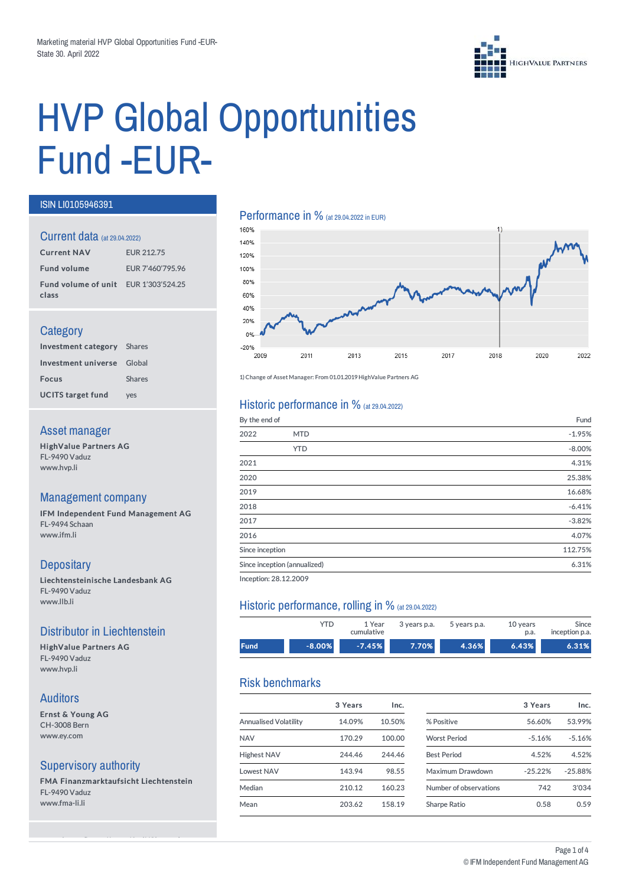

# HVP Global Opportunities Fund-EUR-

#### ISIN LI0105946391

#### Current data (at 29.04.2022)

| <b>Current NAV</b>                            | <b>EUR 212.75</b> |
|-----------------------------------------------|-------------------|
| <b>Fund volume</b>                            | EUR 7'460'795.96  |
| Fund volume of unit EUR 1'303'524.25<br>class |                   |

#### **Category**

| <b>Investment category</b> Shares |               |
|-----------------------------------|---------------|
| Investment universe Global        |               |
| <b>Focus</b>                      | <b>Shares</b> |
| <b>UCITS target fund</b>          | ves           |

#### Asset manager

HighValue Partners AG FL-9490 Vaduz www.hvp.li

#### Management company

IFM Independent Fund Management AG FL-9494 Schaan www.ifm.li

# **Depositary**

Liechtensteinische Landesbank AG FL-9490 Vaduz www.llb.li

#### Distributor in Liechtenstein

HighValue Partners AG FL-9490 Vaduz www.hvp.li

#### Auditors

Ernst & Young AG CH-3008 Bern www.ey.com

#### Supervisory authority

FMA Finanzmarktaufsicht Liechtenstein FL-9490 Vaduz www.fma-li.li

see webpage (https://www.ifm.li/Glossary)

# **Performance in %** (at 29.04.2022 in EUR)



1) Change of Asset Manager: From 01.01.2019HighValue Partners AG

#### Historic performance in  $%$  (at 29.04.2022)

| By the end of   |                              | Fund     |
|-----------------|------------------------------|----------|
| 2022            | <b>MTD</b>                   | $-1.95%$ |
|                 | <b>YTD</b>                   | $-8.00%$ |
| 2021            |                              | 4.31%    |
| 2020            |                              | 25.38%   |
| 2019            |                              | 16.68%   |
| 2018            |                              | $-6.41%$ |
| 2017            |                              | $-3.82%$ |
| 2016            |                              | 4.07%    |
| Since inception |                              | 112.75%  |
|                 | Since inception (annualized) | 6.31%    |
|                 |                              |          |

Inception: 28.12.2009

#### Historic performance, rolling in % (at 29.04.2022)

|       | YTD      | 1 Year<br>cumulative | 3 years p.a. | 5 years p.a. | 10 years<br>p.a. | Since<br>inception p.a. |
|-------|----------|----------------------|--------------|--------------|------------------|-------------------------|
| Fund. | $-8.00%$ | $-7.45%$             | 7.70%        | 4.36%        | 6.43%            | 6.31%                   |

# Risk benchmarks

|                              | 3 Years | Inc.   |                        | 3 Years   | Inc.      |
|------------------------------|---------|--------|------------------------|-----------|-----------|
| <b>Annualised Volatility</b> | 14.09%  | 10.50% | % Positive             | 56.60%    | 53.99%    |
| <b>NAV</b>                   | 170.29  | 100.00 | <b>Worst Period</b>    | $-5.16%$  | $-5.16%$  |
| <b>Highest NAV</b>           | 244.46  | 244.46 | <b>Best Period</b>     | 4.52%     | 4.52%     |
| <b>Lowest NAV</b>            | 143.94  | 98.55  | Maximum Drawdown       | $-25.22%$ | $-25.88%$ |
| Median                       | 210.12  | 160.23 | Number of observations | 742       | 3'034     |
| Mean                         | 203.62  | 158.19 | Sharpe Ratio           | 0.58      | 0.59      |
|                              |         |        |                        |           |           |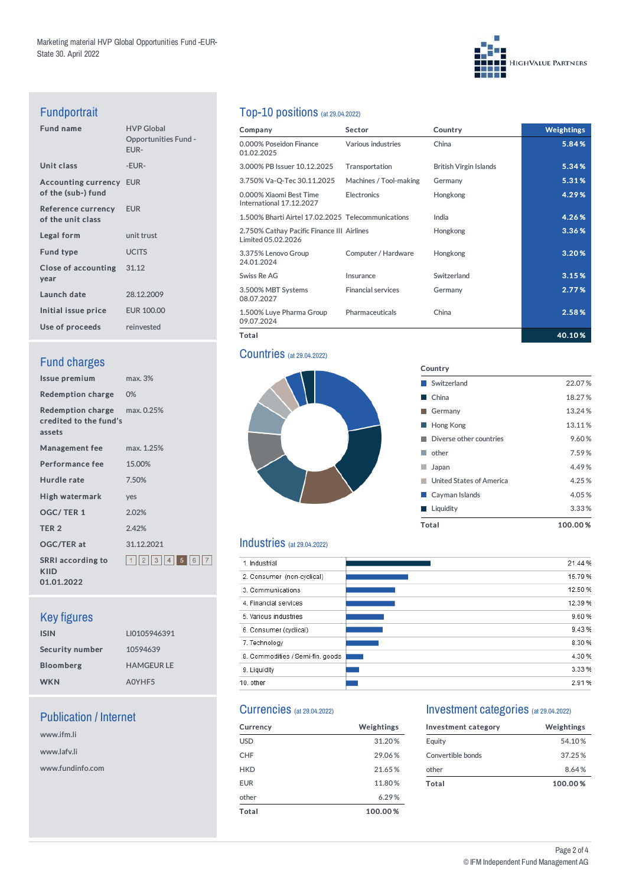# **HIGHVALUE PARTNERS**

# Fundportrait

| <b>Fund name</b>                                     | <b>HVP Global</b><br><b>Opportunities Fund -</b><br>EUR- |
|------------------------------------------------------|----------------------------------------------------------|
| Unit class                                           | -EUR-                                                    |
| <b>Accounting currency EUR</b><br>of the (sub-) fund |                                                          |
| <b>Reference currency</b><br>of the unit class       | <b>EUR</b>                                               |
| Legal form                                           | unit trust                                               |
| <b>Fund type</b>                                     | <b>UCITS</b>                                             |
| Close of accounting 31.12<br>year                    |                                                          |
| Launch date                                          | 28.12.2009                                               |
| Initial issue price                                  | <b>EUR 100.00</b>                                        |
| Use of proceeds                                      | reinvested                                               |
|                                                      |                                                          |

# **Fund charges**

| Issue premium                                                           | max.3%              |
|-------------------------------------------------------------------------|---------------------|
| Redemption charge 0%                                                    |                     |
| <b>Redemption charge</b> max. 0.25%<br>credited to the fund's<br>assets |                     |
| <b>Management fee</b>                                                   | max. 1.25%          |
| <b>Performance fee</b>                                                  | 15.00%              |
| Hurdle rate                                                             | 7.50%               |
| High watermark                                                          | ves                 |
| <b>OGC/TER1</b>                                                         | 2.02%               |
| TER <sub>2</sub>                                                        | 2.42%               |
| <b>OGC/TER at</b>                                                       | 31.12.2021          |
| <b>SRRI</b> according to<br>KIID<br>01.01.2022                          | 1  2  3  4  5  6  7 |

# Key figures

| <b>ISIN</b>      | LI0105946391      |
|------------------|-------------------|
| Security number  | 10594639          |
| <b>Bloomberg</b> | <b>HAMGEUR LE</b> |
| <b>WKN</b>       | A0YHF5            |

# Publication / Internet

www.ifm.li www.lafv.li www.fundinfo.com

# Top-10 positions (at 29.04.2022)

| Company                                                          | <b>Sector</b>             | Country                       | <b>Weightings</b> |
|------------------------------------------------------------------|---------------------------|-------------------------------|-------------------|
| 0.000% Poseidon Finance<br>01.02.2025                            | Various industries        | China                         | 5.84%             |
| 3.000% PB Issuer 10.12.2025                                      | Transportation            | <b>British Virgin Islands</b> | 5.34%             |
| 3.750% Va-Q-Tec 30.11.2025                                       | Machines / Tool-making    | Germany                       | 5.31%             |
| 0.000% Xiaomi Best Time<br>International 17.12.2027              | <b>Electronics</b>        | Hongkong                      | 4.29%             |
| 1.500% Bharti Airtel 17.02.2025 Telecommunications               |                           | India                         | 4.26%             |
| 2.750% Cathay Pacific Finance III Airlines<br>Limited 05.02.2026 |                           | Hongkong                      | 3.36%             |
| 3.375% Lenovo Group<br>24.01.2024                                | Computer / Hardware       | Hongkong                      | 3.20%             |
| Swiss Re AG                                                      | Insurance                 | Switzerland                   | 3.15%             |
| 3.500% MBT Systems<br>08.07.2027                                 | <b>Financial services</b> | Germany                       | 2.77%             |
| 1.500% Luye Pharma Group<br>09.07.2024                           | Pharmaceuticals           | China                         | 2.58%             |
| Total                                                            |                           |                               | 40.10%            |

Country

■ Switzerland 22.07 % ■ China 18.27 % Germany 13.24% **Hong Kong 13.11%** ■ Diverse other countries 9.60 % ■ other 7.59 % Japan 4.49% ■ United States of America 4.25 % **Cayman Islands** 4.05 % ■ Liquidity 3.33 % Total 100.00 %

#### **Countries** (at 29.04.2022)



#### Industries (at 29.04.2022)

| 1. Industrial                    | 21.44 % |
|----------------------------------|---------|
| 2. Consumer (non-cyclical)       | 15.79 % |
| 3. Communications                | 12.50 % |
| 4. Financial services            | 12.39 % |
| 5. Various industries            | 9.60%   |
| 6. Consumer (cyclical)           | 9.43%   |
| 7. Technology                    | 8.30%   |
| 8. Commodities / Semi-fin. goods | 4.30 %  |
| 9. Liquidity                     | 3.33 %  |
| 10. other                        | 2.91%   |

# Currencies (at 29.04.2022)

| <b>Currency</b> | Weightings |
|-----------------|------------|
| <b>USD</b>      | 31.20%     |
| <b>CHF</b>      | 29.06%     |
| <b>HKD</b>      | 21.65%     |
| <b>EUR</b>      | 11.80%     |
| other           | 6.29%      |
| Total           | 100.00%    |

#### Investment categories (at 29.04.2022)

| Investment category | Weightings |
|---------------------|------------|
| Equity              | 54.10%     |
| Convertible bonds   | 37.25%     |
| other               | 8.64%      |
| Total               | 100.00%    |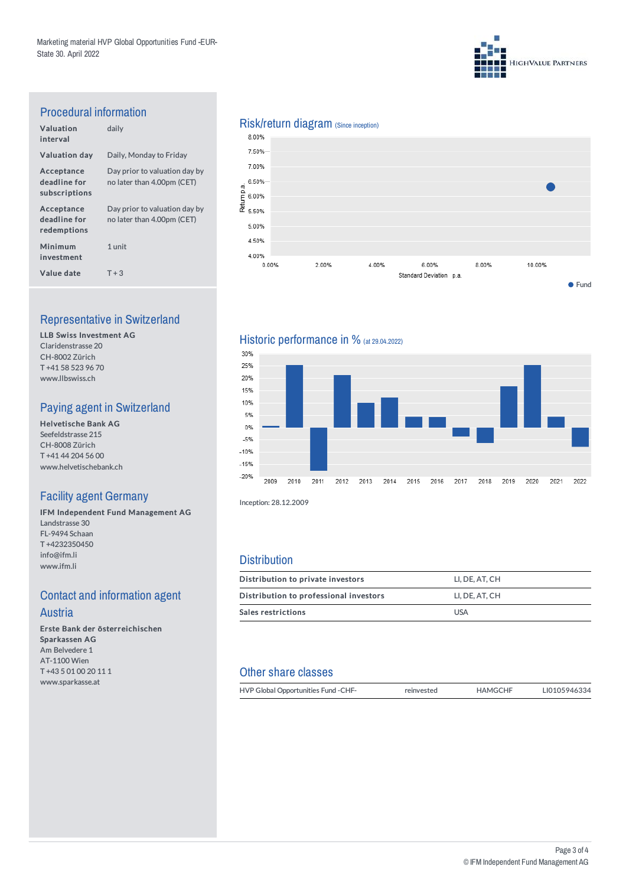

# Procedural information

| Valuation<br>interval                       | daily                                                       |
|---------------------------------------------|-------------------------------------------------------------|
| <b>Valuation day</b>                        | Daily, Monday to Friday                                     |
| Acceptance<br>deadline for<br>subscriptions | Day prior to valuation day by<br>no later than 4.00pm (CET) |
| Acceptance<br>deadline for<br>redemptions   | Day prior to valuation day by<br>no later than 4.00pm (CET) |
| Minimum<br>investment                       | 1 unit                                                      |
| Value date                                  | $T + 3$                                                     |

# Representative in Switzerland

LLB Swiss Investment AG Claridenstrasse 20 CH-8002 Zürich T +41 58 523 96 70 www.llbswiss.ch

# Paying agent in Switzerland

Helvetische Bank AG Seefeldstrasse 215 CH-8008 Zürich T +41 44 204 56 00 www.helvetischebank.ch

# Facility agent Germany

IFM Independent Fund Management AG Landstrasse 30 FL-9494 Schaan T +4232350450 info@ifm.li www.ifm.li

# **Contact and information agent Austria**

Erste Bank der österreichischen Sparkassen AG Am Belvedere 1 AT-1100 Wien T +43 5 01 00 20 11 1 www.sparkasse.at

# Risk/return diagram (Since inception)<br>8.00%



# Historic performance in % (at 29.04.2022)



Inception: 28.12.2009

#### **Distribution**

| Distribution to private investors      | LI. DE. AT. CH |
|----------------------------------------|----------------|
| Distribution to professional investors | LI. DE. AT. CH |
| <b>Sales restrictions</b>              | <b>USA</b>     |

# Other share classes

| HVP Global Opportunities Fund - CHF- | reinvested | <b>HAMGCHF</b> | LI0105946334 |
|--------------------------------------|------------|----------------|--------------|
|                                      |            |                |              |